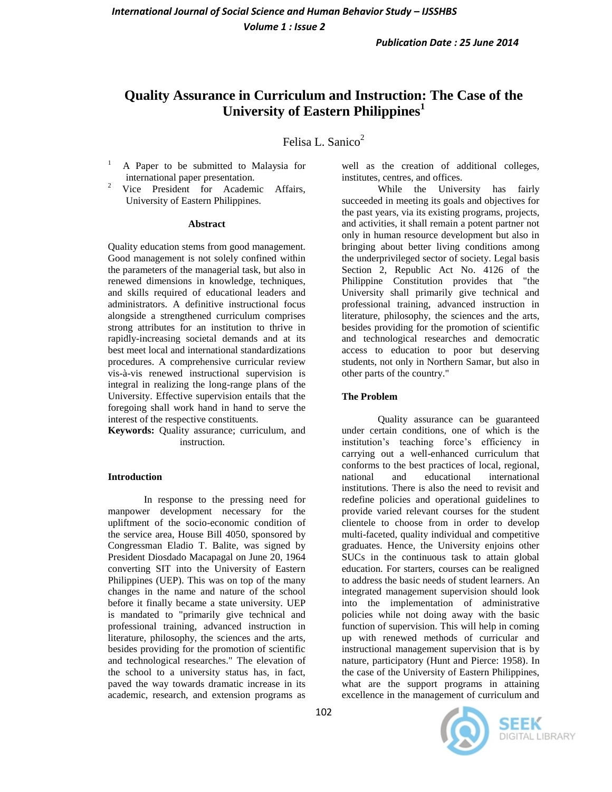*Publication Date : 25 June 2014*

# **Quality Assurance in Curriculum and Instruction: The Case of the University of Eastern Philippines<sup>1</sup>**

Felisa L. Sanico<sup>2</sup>

- <sup>1</sup> A Paper to be submitted to Malaysia for international paper presentation.
- <sup>2</sup> Vice President for Academic Affairs, University of Eastern Philippines.

#### **Abstract**

Quality education stems from good management. Good management is not solely confined within the parameters of the managerial task, but also in renewed dimensions in knowledge, techniques, and skills required of educational leaders and administrators. A definitive instructional focus alongside a strengthened curriculum comprises strong attributes for an institution to thrive in rapidly-increasing societal demands and at its best meet local and international standardizations procedures. A comprehensive curricular review vis-à-vis renewed instructional supervision is integral in realizing the long-range plans of the University. Effective supervision entails that the foregoing shall work hand in hand to serve the interest of the respective constituents.

**Keywords:** Quality assurance; curriculum, and instruction.

### **Introduction**

In response to the pressing need for manpower development necessary for the upliftment of the socio-economic condition of the service area, House Bill 4050, sponsored by Congressman Eladio T. Balite, was signed by President Diosdado Macapagal on June 20, 1964 converting SIT into the University of Eastern Philippines (UEP). This was on top of the many changes in the name and nature of the school before it finally became a state university. UEP is mandated to "primarily give technical and professional training, advanced instruction in literature, philosophy, the sciences and the arts, besides providing for the promotion of scientific and technological researches." The elevation of the school to a university status has, in fact, paved the way towards dramatic increase in its academic, research, and extension programs as

well as the creation of additional colleges, institutes, centres, and offices.

While the University has fairly succeeded in meeting its goals and objectives for the past years, via its existing programs, projects, and activities, it shall remain a potent partner not only in human resource development but also in bringing about better living conditions among the underprivileged sector of society. Legal basis Section 2, Republic Act No. 4126 of the Philippine Constitution provides that "the University shall primarily give technical and professional training, advanced instruction in literature, philosophy, the sciences and the arts, besides providing for the promotion of scientific and technological researches and democratic access to education to poor but deserving students, not only in Northern Samar, but also in other parts of the country."

### **The Problem**

Quality assurance can be guaranteed under certain conditions, one of which is the institution's teaching force's efficiency in carrying out a well-enhanced curriculum that conforms to the best practices of local, regional, national and educational international institutions. There is also the need to revisit and redefine policies and operational guidelines to provide varied relevant courses for the student clientele to choose from in order to develop multi-faceted, quality individual and competitive graduates. Hence, the University enjoins other SUCs in the continuous task to attain global education. For starters, courses can be realigned to address the basic needs of student learners. An integrated management supervision should look into the implementation of administrative policies while not doing away with the basic function of supervision. This will help in coming up with renewed methods of curricular and instructional management supervision that is by nature, participatory (Hunt and Pierce: 1958). In the case of the University of Eastern Philippines, what are the support programs in attaining excellence in the management of curriculum and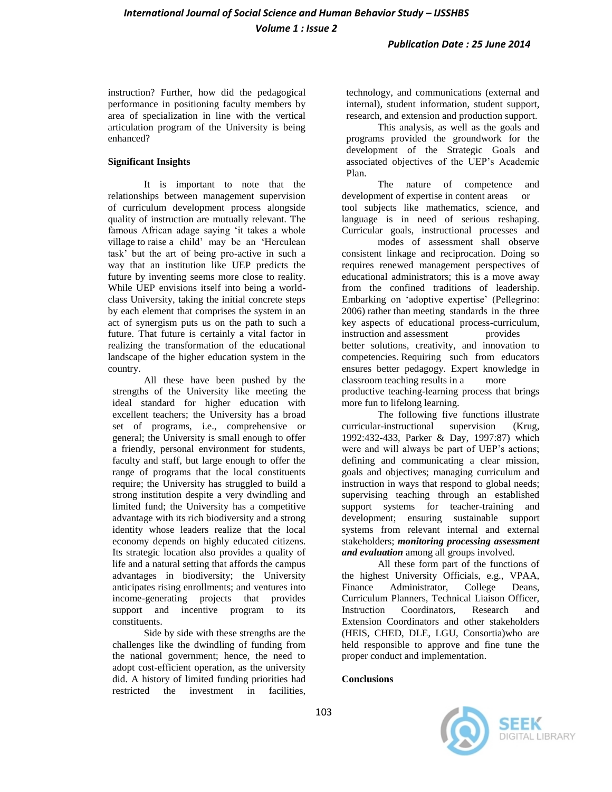instruction? Further, how did the pedagogical performance in positioning faculty members by area of specialization in line with the vertical articulation program of the University is being enhanced?

## **Significant Insights**

It is important to note that the relationships between management supervision of curriculum development process alongside quality of instruction are mutually relevant. The famous African adage saying 'it takes a whole village to raise a child' may be an 'Herculean task' but the art of being pro-active in such a way that an institution like UEP predicts the future by inventing seems more close to reality. While UEP envisions itself into being a worldclass University, taking the initial concrete steps by each element that comprises the system in an act of synergism puts us on the path to such a future. That future is certainly a vital factor in realizing the transformation of the educational landscape of the higher education system in the country.

All these have been pushed by the strengths of the University like meeting the ideal standard for higher education with excellent teachers; the University has a broad set of programs, i.e., comprehensive or general; the University is small enough to offer a friendly, personal environment for students, faculty and staff, but large enough to offer the range of programs that the local constituents require; the University has struggled to build a strong institution despite a very dwindling and limited fund; the University has a competitive advantage with its rich biodiversity and a strong identity whose leaders realize that the local economy depends on highly educated citizens. Its strategic location also provides a quality of life and a natural setting that affords the campus advantages in biodiversity; the University anticipates rising enrollments; and ventures into income-generating projects that provides support and incentive program to its constituents.

Side by side with these strengths are the challenges like the dwindling of funding from the national government; hence, the need to adopt cost-efficient operation, as the university did. A history of limited funding priorities had restricted the investment in facilities,

technology, and communications (external and internal), student information, student support, research, and extension and production support.

This analysis, as well as the goals and programs provided the groundwork for the development of the Strategic Goals and associated objectives of the UEP's Academic Plan.

The nature of competence and development of expertise in content areas or tool subjects like mathematics, science, and language is in need of serious reshaping. Curricular goals, instructional processes and

modes of assessment shall observe consistent linkage and reciprocation. Doing so requires renewed management perspectives of educational administrators; this is a move away from the confined traditions of leadership. Embarking on 'adoptive expertise' (Pellegrino: 2006) rather than meeting standards in the three key aspects of educational process-curriculum, instruction and assessment provides better solutions, creativity, and innovation to competencies. Requiring such from educators ensures better pedagogy. Expert knowledge in classroom teaching results in a more productive teaching-learning process that brings more fun to lifelong learning.

The following five functions illustrate curricular-instructional supervision (Krug, 1992:432-433, Parker & Day, 1997:87) which were and will always be part of UEP's actions; defining and communicating a clear mission, goals and objectives; managing curriculum and instruction in ways that respond to global needs; supervising teaching through an established support systems for teacher-training and development; ensuring sustainable support systems from relevant internal and external stakeholders; *monitoring processing assessment and evaluation* among all groups involved.

All these form part of the functions of the highest University Officials, e.g., VPAA, Finance Administrator, College Deans, Curriculum Planners, Technical Liaison Officer, Instruction Coordinators, Research and Extension Coordinators and other stakeholders (HEIS, CHED, DLE, LGU, Consortia)who are held responsible to approve and fine tune the proper conduct and implementation.

### **Conclusions**